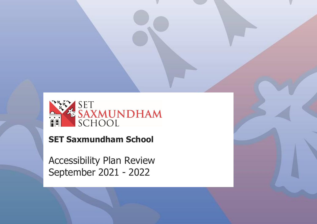

Accessibility Plan Review: September 2021 - 2022

# **SET Saxmundham School**

Accessibility Plan Review September 2021 - 2022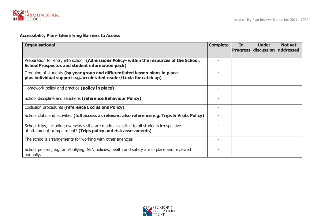

#### **Accessibility Plan- Identifying Barriers to Access**

| <b>Organisational</b>                                                                                                                                         | <b>Complete</b> | In<br><b>Progress</b> | <b>Under</b><br>discussion | Not yet<br><b>addressed</b> |
|---------------------------------------------------------------------------------------------------------------------------------------------------------------|-----------------|-----------------------|----------------------------|-----------------------------|
| Preparation for entry into school. (Admissions Policy- within the resources of the School,<br><b>School Prospectus and student information pack)</b>          |                 |                       |                            |                             |
| Grouping of students (by year group and differentiated lesson plans in place<br>plus individual support e.g. accelerated reader/Lexia for catch up)           |                 |                       |                            |                             |
| Homework policy and practice (policy in place)                                                                                                                | ٠               |                       |                            |                             |
| School discipline and sanctions (reference Behaviour Policy)                                                                                                  | $\blacksquare$  |                       |                            |                             |
| Exclusion procedures (reference Exclusions Policy)                                                                                                            | $\blacksquare$  |                       |                            |                             |
| School clubs and activities (full access as relevant also reference e.g. Trips & Visits Policy)                                                               | $\blacksquare$  |                       |                            |                             |
| School trips, including overseas visits, are made accessible to all students irrespective<br>of attainment or impairment? (Trips policy and risk assessments) |                 |                       |                            |                             |
| The school's arrangements for working with other agencies                                                                                                     | $\blacksquare$  |                       |                            |                             |
| School policies, e.g. anti-bullying, SEN policies, health and safety are in place and reviewed<br>annually.                                                   |                 |                       |                            |                             |

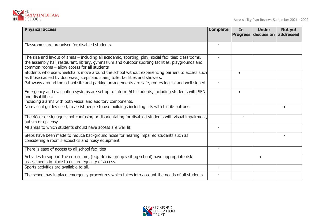

| <b>Physical access</b>                                                                                                                                                                                                                                      | <b>Complete</b> | In        | <b>Under</b><br><b>Progress discussion</b> | Not yet<br>addressed |
|-------------------------------------------------------------------------------------------------------------------------------------------------------------------------------------------------------------------------------------------------------------|-----------------|-----------|--------------------------------------------|----------------------|
| Classrooms are organised for disabled students.                                                                                                                                                                                                             |                 |           |                                            |                      |
| The size and layout of areas – including all academic, sporting, play, social facilities: classrooms,<br>the assembly hall, restaurant, library, gymnasium and outdoor sporting facilities, playgrounds and<br>common rooms - allow access for all students |                 |           |                                            |                      |
| Students who use wheelchairs move around the school without experiencing barriers to access such<br>as those caused by doorways, steps and stairs, toilet facilities and showers.                                                                           |                 | $\bullet$ |                                            |                      |
| Pathways around the school site and parking arrangements are safe, routes logical and well signed.                                                                                                                                                          | ٠               |           |                                            |                      |
| Emergency and evacuation systems are set up to inform ALL students, including students with SEN<br>and disabilities;<br>including alarms with both visual and auditory components.                                                                          |                 | $\bullet$ |                                            |                      |
| Non-visual guides used, to assist people to use buildings including lifts with tactile buttons.                                                                                                                                                             |                 |           |                                            |                      |
| The décor or signage is not confusing or disorientating for disabled students with visual impairment,<br>autism or epilepsy.                                                                                                                                |                 |           |                                            |                      |
| All areas to which students should have access are well lit.                                                                                                                                                                                                |                 |           |                                            |                      |
| Steps have been made to reduce background noise for hearing impaired students such as<br>considering a room's acoustics and noisy equipment                                                                                                                 |                 |           |                                            |                      |
| There is ease of access to all school facilities                                                                                                                                                                                                            | $\mathbf{u}$    |           |                                            |                      |
| Activities to support the curriculum, (e.g. drama group visiting school) have appropriate risk<br>assessments in place to ensure equality of access.                                                                                                        |                 |           | $\bullet$                                  |                      |
| Sports activities are available to all.                                                                                                                                                                                                                     | $\blacksquare$  |           |                                            |                      |
| The school has in place emergency procedures which takes into account the needs of all students                                                                                                                                                             |                 |           |                                            |                      |

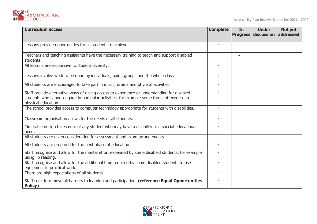

| <b>Curriculum access</b>                                                                                                                                                                                        | <b>Complete</b> | In<br><b>Progress</b> | <b>Under</b><br>discussion | Not yet<br>addressed |
|-----------------------------------------------------------------------------------------------------------------------------------------------------------------------------------------------------------------|-----------------|-----------------------|----------------------------|----------------------|
|                                                                                                                                                                                                                 |                 |                       |                            |                      |
| Lessons provide opportunities for all students to achieve.                                                                                                                                                      |                 |                       |                            |                      |
| Teachers and teaching assistants have the necessary training to teach and support disabled<br>students.                                                                                                         |                 | $\bullet$             |                            |                      |
| All lessons are responsive to student diversity.                                                                                                                                                                |                 |                       |                            |                      |
| Lessons involve work to be done by individuals, pairs, groups and the whole class                                                                                                                               |                 |                       |                            |                      |
| All students are encouraged to take part in music, drama and physical activities.                                                                                                                               |                 |                       |                            |                      |
| Staff provide alternative ways of giving access to experience or understanding for disabled<br>students who cannotengage in particular activities, for example some forms of exercise in<br>physical education. |                 |                       |                            |                      |
| The school provides access to computer technology appropriate for students with disabilities.                                                                                                                   |                 |                       |                            |                      |
| Classroom organisation allows for the needs of all students.                                                                                                                                                    | $\mathbf{r}$    |                       |                            |                      |
| Timetable design takes note of any student who may have a disability or a special educational<br>need.                                                                                                          |                 |                       |                            |                      |
| All students are given consideration for assessment and exam arrangements.                                                                                                                                      |                 |                       |                            |                      |
| All students are prepared for the next phase of education.                                                                                                                                                      |                 |                       |                            |                      |
| Staff recognise and allow for the mental effort expended by some disabled students, for example<br>using lip reading.                                                                                           | ٠               |                       |                            |                      |
| Staff recognise and allow for the additional time required by some disabled students to use<br>equipment in practical work.                                                                                     |                 |                       |                            |                      |
| There are high expectations of all students.                                                                                                                                                                    | $\blacksquare$  |                       |                            |                      |
| Staff seek to remove all barriers to learning and participation. (reference Equal Opportunities<br>Policy)                                                                                                      |                 |                       |                            |                      |

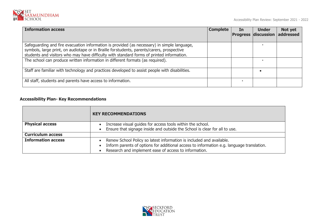

| <b>Information access</b>                                                                                                                                                                                                                                                              | <b>Complete</b> | In | <b>Under</b><br><b>Progress discussion addressed</b> | Not yet |
|----------------------------------------------------------------------------------------------------------------------------------------------------------------------------------------------------------------------------------------------------------------------------------------|-----------------|----|------------------------------------------------------|---------|
| Safeguarding and fire evacuation information is provided (as necessary) in simple language,<br>symbols, large print, on audiotape or in Braille for students, parents/carers, prospective<br>students and visitors who may have difficulty with standard forms of printed information. |                 |    |                                                      |         |
| The school can produce written information in different formats (as required).                                                                                                                                                                                                         |                 |    |                                                      |         |
| Staff are familiar with technology and practices developed to assist people with disabilities.                                                                                                                                                                                         |                 |    |                                                      |         |
| All staff, students and parents have access to information.                                                                                                                                                                                                                            |                 |    |                                                      |         |

## **Accessibility Plan- Key Recommendations**

|                           | <b>KEY RECOMMENDATIONS</b>                                                                                                                                                                                                 |  |  |  |  |  |
|---------------------------|----------------------------------------------------------------------------------------------------------------------------------------------------------------------------------------------------------------------------|--|--|--|--|--|
| <b>Physical access</b>    | Increase visual guides for access tools within the school.<br>Ensure that signage inside and outside the School is clear for all to use.                                                                                   |  |  |  |  |  |
| <b>Curriculum access</b>  |                                                                                                                                                                                                                            |  |  |  |  |  |
| <b>Information access</b> | Renew School Policy so latest information is included and available.<br>Inform parents of options for additional access to information e.g. language translation.<br>Research and implement ease of access to information. |  |  |  |  |  |

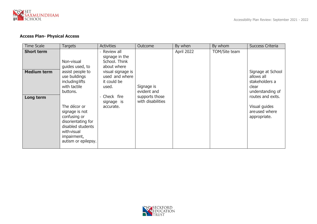

## **Access Plan- Physical Access**

| <b>Time Scale</b>                                    | Targets                                                                                                                                                                                                                                                                    | <b>Activities</b>                                                                                                                                                    | Outcome                                                          | By when    | By whom       | <b>Success Criteria</b>                                                                                                                               |
|------------------------------------------------------|----------------------------------------------------------------------------------------------------------------------------------------------------------------------------------------------------------------------------------------------------------------------------|----------------------------------------------------------------------------------------------------------------------------------------------------------------------|------------------------------------------------------------------|------------|---------------|-------------------------------------------------------------------------------------------------------------------------------------------------------|
| <b>Short term</b><br><b>Medium term</b><br>Long term | Non-visual<br>guides used, to<br>assist people to<br>use buildings<br><i>including lifts</i><br>with tactile<br>buttons.<br>The décor or<br>signage is not<br>confusing or<br>disorientating for<br>disabled students<br>with visual<br>impairment,<br>autism or epilepsy. | Review all<br>signage in the<br>School. Think<br>about where<br>visual signage is<br>used and where<br>it could be<br>used.<br>Check fire<br>signage is<br>accurate. | Signage is<br>evident and<br>supports those<br>with disabilities | April 2022 | TOM/Site team | Signage at School<br>allows all<br>stakeholders a<br>clear<br>understanding of<br>routes and exits.<br>Visual guides<br>areused where<br>appropriate. |